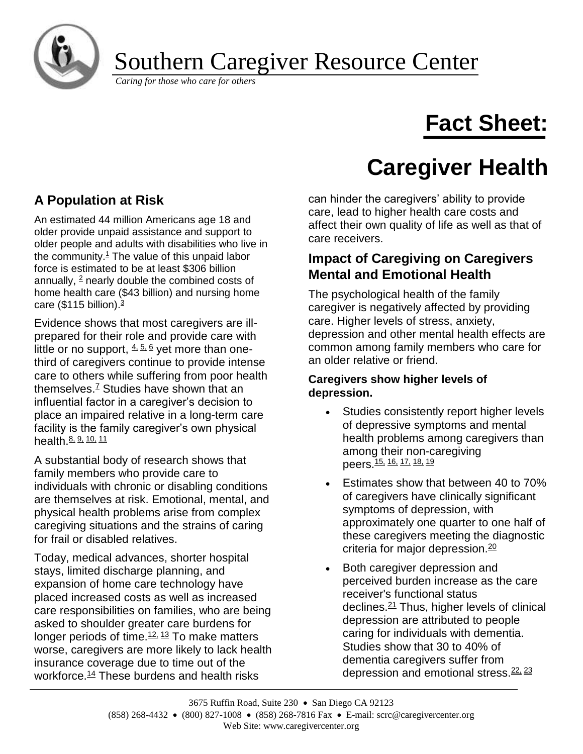

# Southern Caregiver Resource Center **CALCONDUITED AND CALCONDUITED AND CALCONDUITED AND CALCONDUITED AND CALCONDUITED AND CALCONDUITED AND CALCONDUITED AND CALCONDUITED AND CALCONDUITED AND CALCONDUITED AND CALCONDUITED AND CALCONDUITED AND CALCONDUITED AND**

# **Fact Sheet:**

# **Caregiver Health**

## **A Population at Risk**

An estimated 44 million Americans age 18 and older provide unpaid assistance and support to older people and adults with disabilities who live in the community. $1$  The value of this unpaid labor force is estimated to be at least \$306 billion annually,  $2$  nearly double the combined costs of home health care (\$43 billion) and nursing home care  $(\$115$  billion)[.](http://caregiver.org/caregiver/jsp/#3) $3$ 

Evidence shows that most caregivers are illprepared for their role and provide care with little or no support,  $4.56$  $4.56$  yet more than onethird of caregivers continue to provide intense care to others while suffering from poor health themselves. $<sup>7</sup>$  $<sup>7</sup>$  $<sup>7</sup>$  Studies have shown that an</sup> influential factor in a caregiver's decision to place an impaired relative in a long-term care facility is the family caregiver's own physical health. [8,](http://caregiver.org/caregiver/jsp/#8) [9,](http://caregiver.org/caregiver/jsp/#9) [10,](http://caregiver.org/caregiver/jsp/#10) [11](http://caregiver.org/caregiver/jsp/#11)

A substantial body of research shows that family members who provide care to individuals with chronic or disabling conditions are themselves at risk. Emotional, mental, and physical health problems arise from complex caregiving situations and the strains of caring for frail or disabled relatives.

Today, medical advances, shorter hospital stays, limited discharge planning, and expansion of home care technology have placed increased costs as well as increased care responsibilities on families, who are being asked to shoulder greater care burdens for longer periods of time. $12, 13$  $12, 13$  $12, 13$  To make matters worse, caregivers are more likely to lack health insurance coverage due to time out of the workforce.<sup>[14](http://caregiver.org/caregiver/jsp/#14)</sup> These burdens and health risks

can hinder the caregivers' ability to provide care, lead to higher health care costs and affect their own quality of life as well as that of care receivers.

### **Impact of Caregiving on Caregivers Mental and Emotional Health**

The psychological health of the family caregiver is negatively affected by providing care. Higher levels of stress, anxiety, depression and other mental health effects are common among family members who care for an older relative or friend.

#### **Caregivers show higher levels of depression.**

- Studies consistently report higher levels of depressive symptoms and mental health problems among caregivers than among their non-caregiving peers.<sup>[15,](http://caregiver.org/caregiver/jsp/#15) [16,](http://caregiver.org/caregiver/jsp/#16) [17,](http://caregiver.org/caregiver/jsp/#17) [18,](http://caregiver.org/caregiver/jsp/#18) [19](http://caregiver.org/caregiver/jsp/#19)</sup>
- Estimates show that between 40 to 70% of caregivers have clinically significant symptoms of depression, with approximately one quarter to one half of these caregivers meeting the diagnostic criteria for major depression.<sup>[20](http://caregiver.org/caregiver/jsp/#20)</sup>
- Both caregiver depression and perceived burden increase as the care receiver's functional status declines.[21](http://caregiver.org/caregiver/jsp/#21) Thus, higher levels of clinical depression are attributed to people caring for individuals with dementia. Studies show that 30 to 40% of dementia caregivers suffer from depression and emotional stress.<sup>[22,](http://caregiver.org/caregiver/jsp/#22) [23](http://caregiver.org/caregiver/jsp/#23)</sup>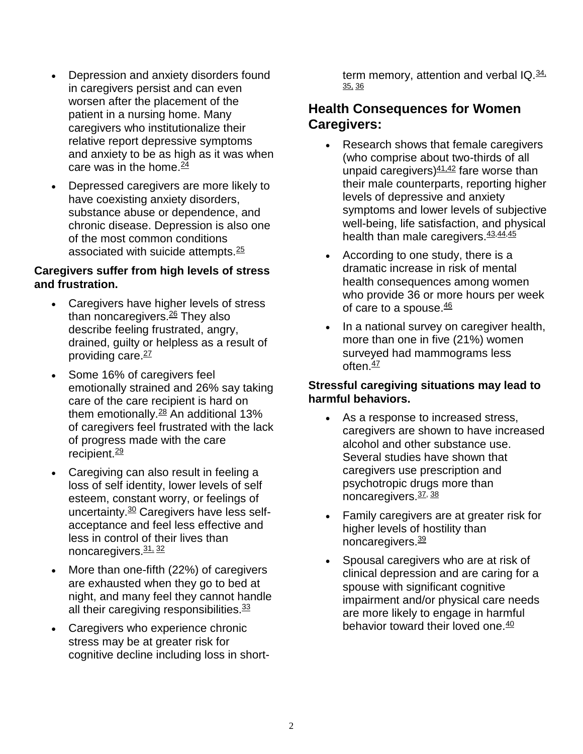- Depression and anxiety disorders found in caregivers persist and can even worsen after the placement of the patient in a nursing home. Many caregivers who institutionalize their relative report depressive symptoms and anxiety to be as high as it was when care was in the home. $\frac{24}{5}$  $\frac{24}{5}$  $\frac{24}{5}$
- Depressed caregivers are more likely to have coexisting anxiety disorders, substance abuse or dependence, and chronic disease. Depression is also one of the most common conditions associated with suicide attempts.[25](http://caregiver.org/caregiver/jsp/#25)

#### **Caregivers suffer from high levels of stress and frustration.**

- Caregivers have higher levels of stress than noncaregivers.<sup>[26](http://caregiver.org/caregiver/jsp/#26)</sup> They also describe feeling frustrated, angry, drained, guilty or helpless as a result of providing care.<sup>[27](http://caregiver.org/caregiver/jsp/#27)</sup>
- Some 16% of caregivers feel emotionally strained and 26% say taking care of the care recipient is hard on them emotionally. $\frac{28}{3}$  $\frac{28}{3}$  $\frac{28}{3}$  An additional 13% of caregivers feel frustrated with the lack of progress made with the care recipient.<sup>[29](http://caregiver.org/caregiver/jsp/#29)</sup>
- Caregiving can also result in feeling a loss of self identity, lower levels of self esteem, constant worry, or feelings of uncertainty.<sup>[30](http://caregiver.org/caregiver/jsp/#30)</sup> Caregivers have less selfacceptance and feel less effective and less in control of their lives than noncaregivers.[31,](http://caregiver.org/caregiver/jsp/#30) [32](http://caregiver.org/caregiver/jsp/#32)
- More than one-fifth (22%) of caregivers are exhausted when they go to bed at night, and many feel they cannot handle all their caregiving responsibilities.<sup>[33](http://caregiver.org/caregiver/jsp/#33)</sup>
- Caregivers who experience chronic stress may be at greater risk for cognitive decline including loss in short-

term memory, attention and verbal  $IQ.\frac{34}{2}$ [35,](http://caregiver.org/caregiver/jsp/#35) [36](http://caregiver.org/caregiver/jsp/#36)

## **Health Consequences for Women Caregivers:**

- Research shows that female caregivers (who comprise about two-thirds of all unpaid caregivers) $41.42$  $41.42$  fare worse than their male counterparts, reporting higher levels of depressive and anxiety symptoms and lower levels of subjective well-being, life satisfaction, and physical health than male caregivers. [43](http://caregiver.org/caregiver/jsp/#43)[,44,](http://caregiver.org/caregiver/jsp/#44)[45](http://caregiver.org/caregiver/jsp/#45)
- According to one study, there is a dramatic increase in risk of mental health consequences among women who provide 36 or more hours per week of care to a spouse. $46$
- In a national survey on caregiver health, more than one in five (21%) women surveyed had mammograms less often $\frac{47}{2}$  $\frac{47}{2}$  $\frac{47}{2}$

#### **Stressful caregiving situations may lead to harmful behaviors.**

- As a response to increased stress, caregivers are shown to have increased alcohol and other substance use. Several studies have shown that caregivers use prescription and psychotropic drugs more than noncaregivers.[37,](http://caregiver.org/caregiver/jsp/#37) [38](http://caregiver.org/caregiver/jsp/#38)
- Family caregivers are at greater risk for higher levels of hostility than noncaregivers.<sup>[39](http://caregiver.org/caregiver/jsp/#39)</sup>
- Spousal caregivers who are at risk of clinical depression and are caring for a spouse with significant cognitive impairment and/or physical care needs are more likely to engage in harmful behavior toward their loved one.<sup>[40](http://caregiver.org/caregiver/jsp/#40)</sup>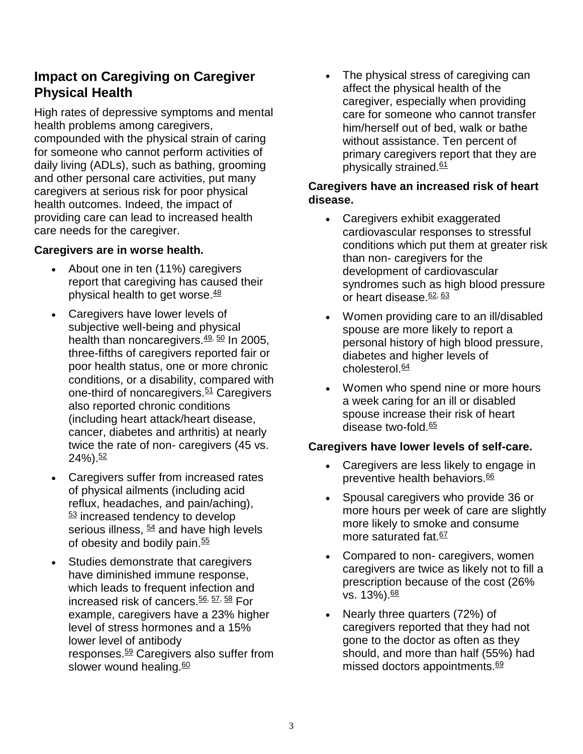### **Impact on Caregiving on Caregiver Physical Health**

High rates of depressive symptoms and mental health problems among caregivers, compounded with the physical strain of caring for someone who cannot perform activities of daily living (ADLs), such as bathing, grooming and other personal care activities, put many caregivers at serious risk for poor physical health outcomes. Indeed, the impact of providing care can lead to increased health care needs for the caregiver.

#### **Caregivers are in worse health.**

- About one in ten (11%) caregivers report that caregiving has caused their physical health to get worse. $48$
- Caregivers have lower levels of subjective well-being and physical health than noncaregivers. $49, 50$  $49, 50$  $49, 50$  In 2005, three-fifths of caregivers reported fair or poor health status, one or more chronic conditions, or a disability, compared with one-third of noncaregivers.<sup>[51](http://caregiver.org/caregiver/jsp/#51)</sup> Caregivers also reported chronic conditions (including heart attack/heart disease, cancer, diabetes and arthritis) at nearly twice the rate of non- caregivers (45 vs.  $24\%$ ).  $52$
- Caregivers suffer from increased rates of physical ailments (including acid reflux, headaches, and pain/aching), [53](http://caregiver.org/caregiver/jsp/#52) increased tendency to develop serious illness,  $\frac{54}{2}$  $\frac{54}{2}$  $\frac{54}{2}$  and have high levels of obesity and bodily pain. $55$
- Studies demonstrate that caregivers have diminished immune response, which leads to frequent infection and increased risk of cancers.<sup>[56,](http://caregiver.org/caregiver/jsp/#56) [57,](http://caregiver.org/caregiver/jsp/#57) [58](http://caregiver.org/caregiver/jsp/#58)</sup> For example, caregivers have a 23% higher level of stress hormones and a 15% lower level of antibody responses.<sup>[59](http://caregiver.org/caregiver/jsp/#59)</sup> Caregivers also suffer from slower wound healing. $60$

• The physical stress of caregiving can affect the physical health of the caregiver, especially when providing care for someone who cannot transfer him/herself out of bed, walk or bathe without assistance. Ten percent of primary caregivers report that they are physically strained.<sup>[61](http://caregiver.org/caregiver/jsp/#61)</sup>

#### **Caregivers have an increased risk of heart disease.**

- Caregivers exhibit exaggerated cardiovascular responses to stressful conditions which put them at greater risk than non- caregivers for the development of cardiovascular syndromes such as high blood pressure or heart disease.<sup>[62,](http://caregiver.org/caregiver/jsp/#62) [63](http://caregiver.org/caregiver/jsp/#63)</sup>
- Women providing care to an ill/disabled spouse are more likely to report a personal history of high blood pressure, diabetes and higher levels of  $cholesterol.64$  $cholesterol.64$
- Women who spend nine or more hours a week caring for an ill or disabled spouse increase their risk of heart disease two-fold. $65$

#### **Caregivers have lower levels of self-care.**

- Caregivers are less likely to engage in preventive health behaviors.<sup>[66](http://caregiver.org/caregiver/jsp/#66)</sup>
- Spousal caregivers who provide 36 or more hours per week of care are slightly more likely to smoke and consume more saturated fat.<sup>[67](http://caregiver.org/caregiver/jsp/#67)</sup>
- Compared to non-caregivers, women caregivers are twice as likely not to fill a prescription because of the cost (26% vs. 13%).<sup>[68](http://caregiver.org/caregiver/jsp/#68)</sup>
- Nearly three quarters (72%) of caregivers reported that they had not gone to the doctor as often as they should, and more than half (55%) had missed doctors appointments.<sup>[69](http://caregiver.org/caregiver/jsp/#69)</sup>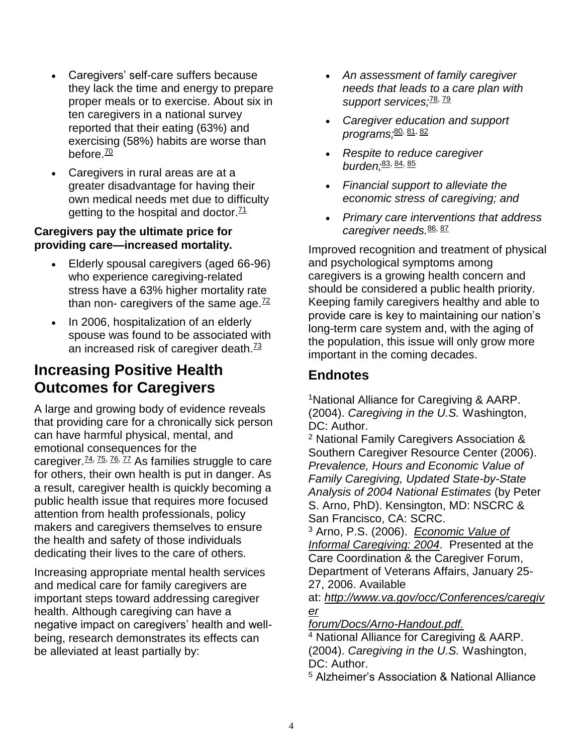- Caregivers' self-care suffers because they lack the time and energy to prepare proper meals or to exercise. About six in ten caregivers in a national survey reported that their eating (63%) and exercising (58%) habits are worse than before. $\frac{70}{2}$  $\frac{70}{2}$  $\frac{70}{2}$
- Caregivers in rural areas are at a greater disadvantage for having their own medical needs met due to difficulty getting to the hospital and doctor. $71$

#### **Caregivers pay the ultimate price for providing care—increased mortality.**

- Elderly spousal caregivers (aged 66-96) who experience caregiving-related stress have a 63% higher mortality rate than non- caregivers of the same age. $72$
- In 2006, hospitalization of an elderly spouse was found to be associated with an increased risk of caregiver death.<sup>[73](http://caregiver.org/caregiver/jsp/#73)</sup>

## **Increasing Positive Health Outcomes for Caregivers**

A large and growing body of evidence reveals that providing care for a chronically sick person can have harmful physical, mental, and emotional consequences for the caregiver. $\frac{74}{75}$ ,  $\frac{76}{77}$  $\frac{76}{77}$  $\frac{76}{77}$  As families struggle to care for others, their own health is put in danger. As a result, caregiver health is quickly becoming a public health issue that requires more focused attention from health professionals, policy makers and caregivers themselves to ensure the health and safety of those individuals dedicating their lives to the care of others.

Increasing appropriate mental health services and medical care for family caregivers are important steps toward addressing caregiver health. Although caregiving can have a negative impact on caregivers' health and wellbeing, research demonstrates its effects can be alleviated at least partially by:

- *An assessment of family caregiver needs that leads to a care plan with*  support services;<sup>[78,](http://caregiver.org/caregiver/jsp/#77) [79](http://caregiver.org/caregiver/jsp/#79)</sup>
- *Caregiver education and support programs;*[80,](http://caregiver.org/caregiver/jsp/#80) [81,](http://caregiver.org/caregiver/jsp/#81) [82](http://caregiver.org/caregiver/jsp/#82)
- *Respite to reduce caregiver burden;*[83,](http://caregiver.org/caregiver/jsp/#83) [84,](http://caregiver.org/caregiver/jsp/#84) [85](http://caregiver.org/caregiver/jsp/#85)
- *Financial support to alleviate the economic stress of caregiving; and*
- *Primary care interventions that address caregiver needs.*[86,](http://caregiver.org/caregiver/jsp/#86) [87](http://caregiver.org/caregiver/jsp/#87)

Improved recognition and treatment of physical and psychological symptoms among caregivers is a growing health concern and should be considered a public health priority. Keeping family caregivers healthy and able to provide care is key to maintaining our nation's long-term care system and, with the aging of the population, this issue will only grow more important in the coming decades.

## **Endnotes**

<sup>1</sup>National Alliance for Caregiving & AARP. (2004). *Caregiving in the U.S.* Washington, DC: Author.

<sup>2</sup> National Family Caregivers Association & Southern Caregiver Resource Center (2006). *Prevalence, Hours and Economic Value of Family Caregiving, Updated State-by-State Analysis of 2004 National Estimates* (by Peter S. Arno, PhD). Kensington, MD: NSCRC & San Francisco, CA: SCRC.

<sup>3</sup> Arno, P.S. (2006). *[Economic Value of](http://www.va.gov/occ/Conferences/caregiverforum/Docs/Arno-Handout.pdf)  [Informal Caregiving: 2004](http://www.va.gov/occ/Conferences/caregiverforum/Docs/Arno-Handout.pdf)*. Presented at the Care Coordination & the Caregiver Forum, Department of Veterans Affairs, January 25- 27, 2006. Available

at: *[http://www.va.gov/occ/Conferences/caregiv](http://www.va.gov/occ/Conferences/caregiverforum/) [er](http://www.va.gov/occ/Conferences/caregiverforum/)*

*[forum/](http://www.va.gov/occ/Conferences/caregiverforum/)[Docs/Arno-Handout.pdf.](http://www.va.gov/occ/Conferences/caregiverforum/Docs/Arno-Handout.pdf)*

<sup>4</sup> National Alliance for Caregiving & AARP. (2004). *Caregiving in the U.S.* Washington, DC: Author.

<sup>5</sup> Alzheimer's Association & National Alliance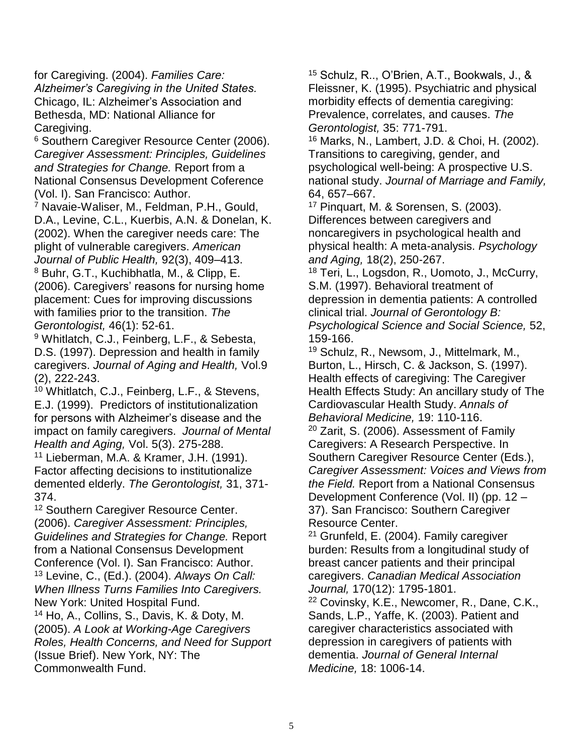for Caregiving. (2004). *Families Care: Alzheimer's Caregiving in the United States.* Chicago, IL: Alzheimer's Association and Bethesda, MD: National Alliance for Caregiving.

<sup>6</sup> Southern Caregiver Resource Center (2006). *Caregiver Assessment: Principles, Guidelines and Strategies for Change.* Report from a National Consensus Development Coference (Vol. I). San Francisco: Author.

 $7$  Navaie-Waliser, M., Feldman, P.H., Gould, D.A., Levine, C.L., Kuerbis, A.N. & Donelan, K. (2002). When the caregiver needs care: The plight of vulnerable caregivers. *American Journal of Public Health,* 92(3), 409–413.

<sup>8</sup> Buhr, G.T., Kuchibhatla, M., & Clipp, E. (2006). Caregivers' reasons for nursing home placement: Cues for improving discussions with families prior to the transition. *The Gerontologist,* 46(1): 52-61.

<sup>9</sup> Whitlatch, C.J., Feinberg, L.F., & Sebesta, D.S. (1997). Depression and health in family caregivers. *Journal of Aging and Health,* Vol.9 (2), 222-243.

<sup>10</sup> Whitlatch, C.J., Feinberg, L.F., & Stevens, E.J. (1999). Predictors of institutionalization for persons with Alzheimer's disease and the impact on family caregivers. *Journal of Mental Health and Aging,* Vol. 5(3). 275-288.

<sup>11</sup> Lieberman, M.A. & Kramer, J.H. (1991). Factor affecting decisions to institutionalize demented elderly. *The Gerontologist,* 31, 371- 374.

<sup>12</sup> Southern Caregiver Resource Center. (2006). *Caregiver Assessment: Principles, Guidelines and Strategies for Change.* Report from a National Consensus Development Conference (Vol. I). San Francisco: Author. <sup>13</sup> Levine, C., (Ed.). (2004). *Always On Call: When Illness Turns Families Into Caregivers.* New York: United Hospital Fund.

<sup>14</sup> Ho, A., Collins, S., Davis, K. & Doty, M. (2005). *A Look at Working-Age Caregivers Roles, Health Concerns, and Need for Support* (Issue Brief). New York, NY: The Commonwealth Fund.

<sup>15</sup> Schulz, R.., O'Brien, A.T., Bookwals, J., & Fleissner, K. (1995). Psychiatric and physical morbidity effects of dementia caregiving: Prevalence, correlates, and causes. *The Gerontologist,* 35: 771-791.

<sup>16</sup> Marks, N., Lambert, J.D. & Choi, H. (2002). Transitions to caregiving, gender, and psychological well-being: A prospective U.S. national study. *Journal of Marriage and Family,* 64, 657–667.

<sup>17</sup> Pinquart, M. & Sorensen, S. (2003). Differences between caregivers and noncaregivers in psychological health and physical health: A meta-analysis. *Psychology and Aging,* 18(2), 250-267.

<sup>18</sup> Teri, L., Logsdon, R., Uomoto, J., McCurry, S.M. (1997). Behavioral treatment of depression in dementia patients: A controlled clinical trial. *Journal of Gerontology B: Psychological Science and Social Science,* 52, 159-166.

<sup>19</sup> Schulz, R., Newsom, J., Mittelmark, M., Burton, L., Hirsch, C. & Jackson, S. (1997). Health effects of caregiving: The Caregiver Health Effects Study: An ancillary study of The Cardiovascular Health Study. *Annals of Behavioral Medicine,* 19: 110-116.

<sup>20</sup> Zarit, S. (2006). Assessment of Family Caregivers: A Research Perspective. In Southern Caregiver Resource Center (Eds.), *Caregiver Assessment: Voices and Views from the Field.* Report from a National Consensus Development Conference (Vol. II) (pp. 12 – 37). San Francisco: Southern Caregiver Resource Center.

<sup>21</sup> Grunfeld, E. (2004). Family caregiver burden: Results from a longitudinal study of breast cancer patients and their principal caregivers. *Canadian Medical Association Journal,* 170(12): 1795-1801.

<sup>22</sup> Covinsky, K.E., Newcomer, R., Dane, C.K., Sands, L.P., Yaffe, K. (2003). Patient and caregiver characteristics associated with depression in caregivers of patients with dementia. *Journal of General Internal Medicine,* 18: 1006-14.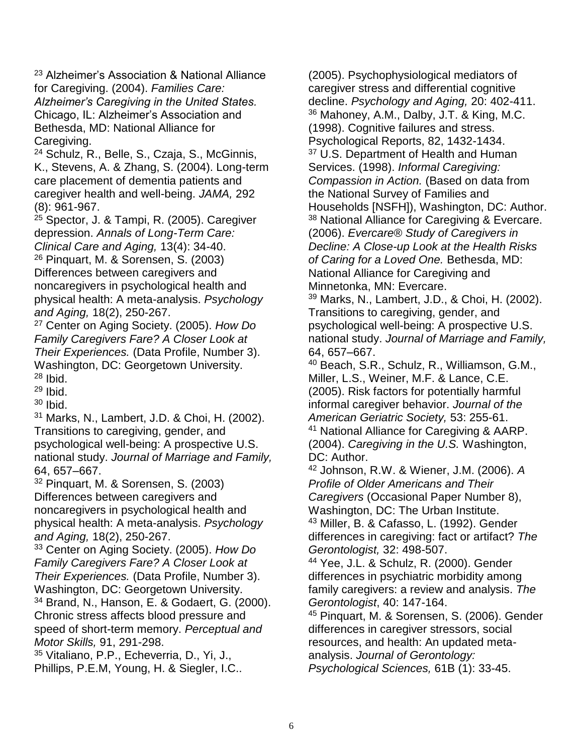<sup>23</sup> Alzheimer's Association & National Alliance for Caregiving. (2004). *Families Care: Alzheimer's Caregiving in the United States.* Chicago, IL: Alzheimer's Association and Bethesda, MD: National Alliance for Caregiving.

<sup>24</sup> Schulz, R., Belle, S., Czaja, S., McGinnis, K., Stevens, A. & Zhang, S. (2004). Long-term care placement of dementia patients and caregiver health and well-being. *JAMA,* 292 (8): 961-967.

<sup>25</sup> Spector, J. & Tampi, R. (2005). Caregiver depression. *Annals of Long-Term Care: Clinical Care and Aging,* 13(4): 34-40.

<sup>26</sup> Pinquart, M. & Sorensen, S. (2003) Differences between caregivers and noncaregivers in psychological health and physical health: A meta-analysis. *Psychology and Aging,* 18(2), 250-267.

<sup>27</sup> Center on Aging Society. (2005). *How Do Family Caregivers Fare? A Closer Look at Their Experiences.* (Data Profile, Number 3). Washington, DC: Georgetown University. <sup>28</sup> Ibid.

 $29$  Ibid.

<sup>30</sup> Ibid.

<sup>31</sup> Marks, N., Lambert, J.D. & Choi, H. (2002). Transitions to caregiving, gender, and psychological well-being: A prospective U.S. national study. *Journal of Marriage and Family,* 64, 657–667.

<sup>32</sup> Pinquart, M. & Sorensen, S. (2003) Differences between caregivers and noncaregivers in psychological health and physical health: A meta-analysis. *Psychology and Aging,* 18(2), 250-267.

<sup>33</sup> Center on Aging Society. (2005). *How Do Family Caregivers Fare? A Closer Look at Their Experiences.* (Data Profile, Number 3). Washington, DC: Georgetown University. <sup>34</sup> Brand, N., Hanson, E. & Godaert, G. (2000). Chronic stress affects blood pressure and speed of short-term memory. *Perceptual and Motor Skills,* 91, 291-298. <sup>35</sup> Vitaliano, P.P., Echeverria, D., Yi, J.,

Phillips, P.E.M, Young, H. & Siegler, I.C..

(2005). Psychophysiological mediators of caregiver stress and differential cognitive decline. *Psychology and Aging,* 20: 402-411. <sup>36</sup> Mahoney, A.M., Dalby, J.T. & King, M.C. (1998). Cognitive failures and stress. Psychological Reports, 82, 1432-1434. <sup>37</sup> U.S. Department of Health and Human Services. (1998). *Informal Caregiving: Compassion in Action.* (Based on data from the National Survey of Families and Households [NSFH]), Washington, DC: Author. <sup>38</sup> National Alliance for Caregiving & Evercare. (2006). *Evercare® Study of Caregivers in Decline: A Close-up Look at the Health Risks of Caring for a Loved One.* Bethesda, MD: National Alliance for Caregiving and Minnetonka, MN: Evercare.

<sup>39</sup> Marks, N., Lambert, J.D., & Choi, H. (2002). Transitions to caregiving, gender, and psychological well-being: A prospective U.S. national study. *Journal of Marriage and Family,* 64, 657–667.

<sup>40</sup> Beach, S.R., Schulz, R., Williamson, G.M., Miller, L.S., Weiner, M.F. & Lance, C.E. (2005). Risk factors for potentially harmful informal caregiver behavior. *Journal of the American Geriatric Society,* 53: 255-61. <sup>41</sup> National Alliance for Caregiving & AARP.

(2004). *Caregiving in the U.S.* Washington, DC: Author.

<sup>42</sup> Johnson, R.W. & Wiener, J.M. (2006). *A Profile of Older Americans and Their Caregivers* (Occasional Paper Number 8), Washington, DC: The Urban Institute.

<sup>43</sup> Miller, B. & Cafasso, L. (1992). Gender differences in caregiving: fact or artifact? *The Gerontologist,* 32: 498-507.

<sup>44</sup> Yee, J.L. & Schulz, R. (2000). Gender differences in psychiatric morbidity among family caregivers: a review and analysis. *The Gerontologist*, 40: 147-164.

<sup>45</sup> Pinquart, M. & Sorensen, S. (2006). Gender differences in caregiver stressors, social resources, and health: An updated metaanalysis. *Journal of Gerontology: Psychological Sciences,* 61B (1): 33-45.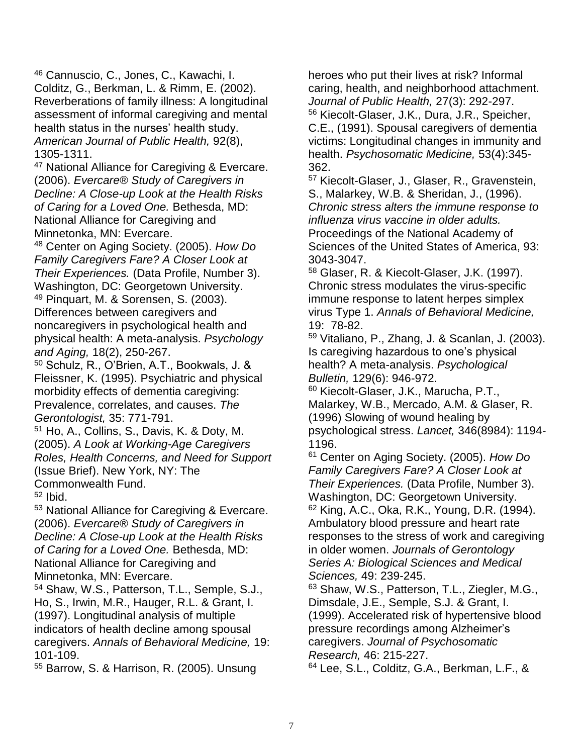<sup>46</sup> Cannuscio, C., Jones, C., Kawachi, I. Colditz, G., Berkman, L. & Rimm, E. (2002). Reverberations of family illness: A longitudinal assessment of informal caregiving and mental health status in the nurses' health study. *American Journal of Public Health,* 92(8), 1305-1311.

<sup>47</sup> National Alliance for Caregiving & Evercare. (2006). *Evercare® Study of Caregivers in Decline: A Close-up Look at the Health Risks of Caring for a Loved One.* Bethesda, MD: National Alliance for Caregiving and Minnetonka, MN: Evercare.

<sup>48</sup> Center on Aging Society. (2005). *How Do Family Caregivers Fare? A Closer Look at Their Experiences.* (Data Profile, Number 3). Washington, DC: Georgetown University. <sup>49</sup> Pinquart, M. & Sorensen, S. (2003). Differences between caregivers and noncaregivers in psychological health and physical health: A meta-analysis. *Psychology and Aging,* 18(2), 250-267.

<sup>50</sup> Schulz, R., O'Brien, A.T., Bookwals, J. & Fleissner, K. (1995). Psychiatric and physical morbidity effects of dementia caregiving: Prevalence, correlates, and causes. *The Gerontologist,* 35: 771-791.

<sup>51</sup> Ho, A., Collins, S., Davis, K. & Doty, M. (2005). *A Look at Working-Age Caregivers Roles, Health Concerns, and Need for Support* (Issue Brief). New York, NY: The Commonwealth Fund.

 $52$  Ibid.

<sup>53</sup> National Alliance for Caregiving & Evercare. (2006). *Evercare® Study of Caregivers in Decline: A Close-up Look at the Health Risks of Caring for a Loved One.* Bethesda, MD: National Alliance for Caregiving and Minnetonka, MN: Evercare.

<sup>54</sup> Shaw, W.S., Patterson, T.L., Semple, S.J., Ho, S., Irwin, M.R., Hauger, R.L. & Grant, I. (1997). Longitudinal analysis of multiple indicators of health decline among spousal caregivers. *Annals of Behavioral Medicine,* 19: 101-109.

<sup>55</sup> Barrow, S. & Harrison, R. (2005). Unsung

heroes who put their lives at risk? Informal caring, health, and neighborhood attachment. *Journal of Public Health,* 27(3): 292-297. <sup>56</sup> Kiecolt-Glaser, J.K., Dura, J.R., Speicher, C.E., (1991). Spousal caregivers of dementia victims: Longitudinal changes in immunity and health. *Psychosomatic Medicine,* 53(4):345- 362.

<sup>57</sup> Kiecolt-Glaser, J., Glaser, R., Gravenstein, S., Malarkey, W.B. & Sheridan, J., (1996). *Chronic stress alters the immune response to influenza virus vaccine in older adults.* Proceedings of the National Academy of Sciences of the United States of America, 93: 3043-3047.

<sup>58</sup> Glaser, R. & Kiecolt-Glaser, J.K. (1997). Chronic stress modulates the virus-specific immune response to latent herpes simplex virus Type 1. *Annals of Behavioral Medicine,* 19: 78-82.

<sup>59</sup> Vitaliano, P., Zhang, J. & Scanlan, J. (2003). Is caregiving hazardous to one's physical health? A meta-analysis. *Psychological Bulletin,* 129(6): 946-972.

<sup>60</sup> Kiecolt-Glaser, J.K., Marucha, P.T., Malarkey, W.B., Mercado, A.M. & Glaser, R. (1996) Slowing of wound healing by psychological stress. *Lancet,* 346(8984): 1194- 1196.

<sup>61</sup> Center on Aging Society. (2005). *How Do Family Caregivers Fare? A Closer Look at Their Experiences.* (Data Profile, Number 3). Washington, DC: Georgetown University. <sup>62</sup> King, A.C., Oka, R.K., Young, D.R. (1994). Ambulatory blood pressure and heart rate responses to the stress of work and caregiving in older women. *Journals of Gerontology Series A: Biological Sciences and Medical Sciences,* 49: 239-245.

<sup>63</sup> Shaw, W.S., Patterson, T.L., Ziegler, M.G., Dimsdale, J.E., Semple, S.J. & Grant, I. (1999). Accelerated risk of hypertensive blood pressure recordings among Alzheimer's caregivers. *Journal of Psychosomatic Research,* 46: 215-227.

<sup>64</sup> Lee, S.L., Colditz, G.A., Berkman, L.F., &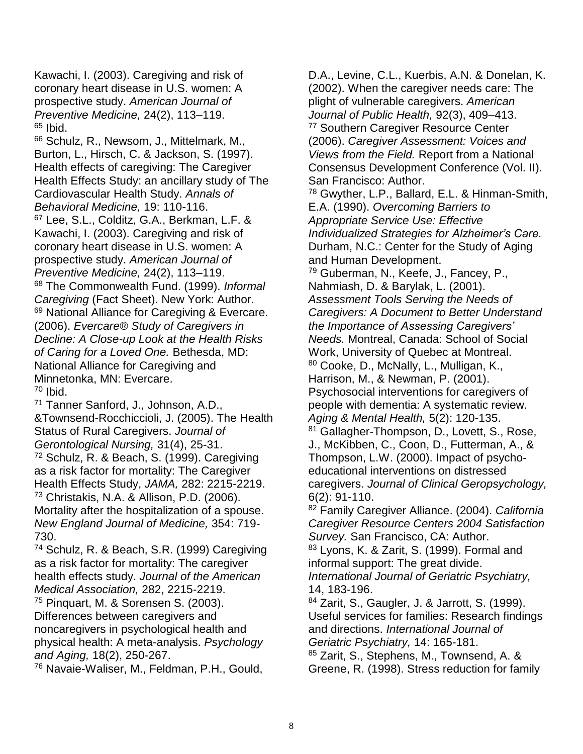Kawachi, I. (2003). Caregiving and risk of coronary heart disease in U.S. women: A prospective study. *American Journal of Preventive Medicine,* 24(2), 113–119.  $65$  Ibid.

<sup>66</sup> Schulz, R., Newsom, J., Mittelmark, M., Burton, L., Hirsch, C. & Jackson, S. (1997). Health effects of caregiving: The Caregiver Health Effects Study: an ancillary study of The Cardiovascular Health Study. *Annals of Behavioral Medicine,* 19: 110-116. <sup>67</sup> Lee, S.L., Colditz, G.A., Berkman, L.F. & Kawachi, I. (2003). Caregiving and risk of coronary heart disease in U.S. women: A prospective study. *American Journal of Preventive Medicine,* 24(2), 113–119. <sup>68</sup> The Commonwealth Fund. (1999). *Informal Caregiving* (Fact Sheet). New York: Author. <sup>69</sup> National Alliance for Caregiving & Evercare. (2006). *Evercare® Study of Caregivers in Decline: A Close-up Look at the Health Risks of Caring for a Loved One.* Bethesda, MD: National Alliance for Caregiving and Minnetonka, MN: Evercare.  $70$  Ibid.

<sup>71</sup> Tanner Sanford, J., Johnson, A.D., &Townsend-Rocchiccioli, J. (2005). The Health Status of Rural Caregivers. *Journal of Gerontological Nursing,* 31(4), 25-31. <sup>72</sup> Schulz, R. & Beach, S. (1999). Caregiving as a risk factor for mortality: The Caregiver Health Effects Study, *JAMA,* 282: 2215-2219. <sup>73</sup> Christakis, N.A. & Allison, P.D. (2006). Mortality after the hospitalization of a spouse. *New England Journal of Medicine,* 354: 719- 730.

<sup>74</sup> Schulz, R. & Beach, S.R. (1999) Caregiving as a risk factor for mortality: The caregiver health effects study. *Journal of the American Medical Association,* 282, 2215-2219. <sup>75</sup> Pinquart, M. & Sorensen S. (2003). Differences between caregivers and noncaregivers in psychological health and physical health: A meta-analysis. *Psychology and Aging,* 18(2), 250-267. <sup>76</sup> Navaie-Waliser, M., Feldman, P.H., Gould,

D.A., Levine, C.L., Kuerbis, A.N. & Donelan, K. (2002). When the caregiver needs care: The plight of vulnerable caregivers. *American Journal of Public Health,* 92(3), 409–413. <sup>77</sup> Southern Caregiver Resource Center (2006). *Caregiver Assessment: Voices and Views from the Field.* Report from a National Consensus Development Conference (Vol. II). San Francisco: Author. <sup>78</sup> Gwyther, L.P., Ballard, E.L. & Hinman-Smith, E.A. (1990). *Overcoming Barriers to Appropriate Service Use: Effective Individualized Strategies for Alzheimer's Care.* Durham, N.C.: Center for the Study of Aging and Human Development. <sup>79</sup> Guberman, N., Keefe, J., Fancey, P., Nahmiash, D. & Barylak, L. (2001). *Assessment Tools Serving the Needs of Caregivers: A Document to Better Understand the Importance of Assessing Caregivers' Needs.* Montreal, Canada: School of Social Work, University of Quebec at Montreal. <sup>80</sup> Cooke, D., McNally, L., Mulligan, K., Harrison, M., & Newman, P. (2001). Psychosocial interventions for caregivers of people with dementia: A systematic review. *Aging & Mental Health,* 5(2): 120-135. 81 Gallagher-Thompson, D., Lovett, S., Rose, J., McKibben, C., Coon, D., Futterman, A., & Thompson, L.W. (2000). Impact of psychoeducational interventions on distressed caregivers. *Journal of Clinical Geropsychology,* 6(2): 91-110. <sup>82</sup> Family Caregiver Alliance. (2004). *California Caregiver Resource Centers 2004 Satisfaction Survey.* San Francisco, CA: Author. 83 Lyons, K. & Zarit, S. (1999). Formal and informal support: The great divide. *International Journal of Geriatric Psychiatry,* 14, 183-196. <sup>84</sup> Zarit, S., Gaugler, J. & Jarrott, S. (1999).

Useful services for families: Research findings and directions. *International Journal of Geriatric Psychiatry,* 14: 165-181.

<sup>85</sup> Zarit, S., Stephens, M., Townsend, A. & Greene, R. (1998). Stress reduction for family